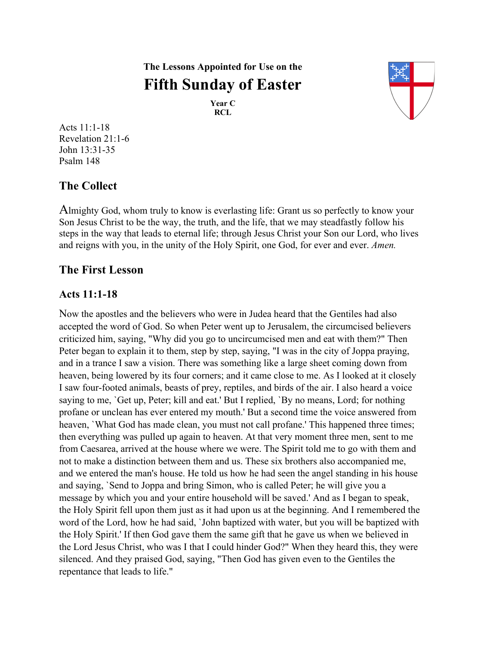**The Lessons Appointed for Use on the Fifth Sunday of Easter**

> **Year C RCL**



Acts 11:1-18 Revelation 21:1-6 John 13:31-35 Psalm 148

# **The Collect**

Almighty God, whom truly to know is everlasting life: Grant us so perfectly to know your Son Jesus Christ to be the way, the truth, and the life, that we may steadfastly follow his steps in the way that leads to eternal life; through Jesus Christ your Son our Lord, who lives and reigns with you, in the unity of the Holy Spirit, one God, for ever and ever. *Amen.*

## **The First Lesson**

## **Acts 11:1-18**

Now the apostles and the believers who were in Judea heard that the Gentiles had also accepted the word of God. So when Peter went up to Jerusalem, the circumcised believers criticized him, saying, "Why did you go to uncircumcised men and eat with them?" Then Peter began to explain it to them, step by step, saying, "I was in the city of Joppa praying, and in a trance I saw a vision. There was something like a large sheet coming down from heaven, being lowered by its four corners; and it came close to me. As I looked at it closely I saw four-footed animals, beasts of prey, reptiles, and birds of the air. I also heard a voice saying to me, `Get up, Peter; kill and eat.' But I replied, `By no means, Lord; for nothing profane or unclean has ever entered my mouth.' But a second time the voice answered from heaven, `What God has made clean, you must not call profane.' This happened three times; then everything was pulled up again to heaven. At that very moment three men, sent to me from Caesarea, arrived at the house where we were. The Spirit told me to go with them and not to make a distinction between them and us. These six brothers also accompanied me, and we entered the man's house. He told us how he had seen the angel standing in his house and saying, `Send to Joppa and bring Simon, who is called Peter; he will give you a message by which you and your entire household will be saved.' And as I began to speak, the Holy Spirit fell upon them just as it had upon us at the beginning. And I remembered the word of the Lord, how he had said, `John baptized with water, but you will be baptized with the Holy Spirit.' If then God gave them the same gift that he gave us when we believed in the Lord Jesus Christ, who was I that I could hinder God?" When they heard this, they were silenced. And they praised God, saying, "Then God has given even to the Gentiles the repentance that leads to life."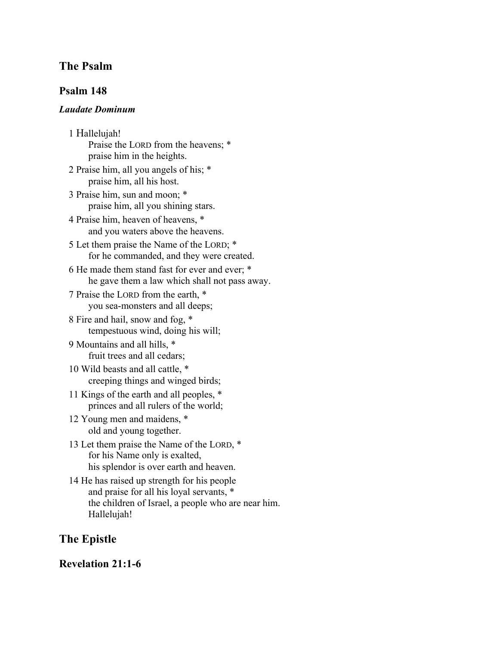# **The Psalm**

## **Psalm 148**

#### *Laudate Dominum*

1 Hallelujah! Praise the LORD from the heavens; \* praise him in the heights.

2 Praise him, all you angels of his; \* praise him, all his host.

3 Praise him, sun and moon; \* praise him, all you shining stars.

4 Praise him, heaven of heavens, \* and you waters above the heavens.

5 Let them praise the Name of the LORD; \* for he commanded, and they were created.

6 He made them stand fast for ever and ever; \* he gave them a law which shall not pass away.

7 Praise the LORD from the earth, \* you sea-monsters and all deeps;

8 Fire and hail, snow and fog, \* tempestuous wind, doing his will;

9 Mountains and all hills, \* fruit trees and all cedars;

10 Wild beasts and all cattle, \* creeping things and winged birds;

11 Kings of the earth and all peoples, \* princes and all rulers of the world;

12 Young men and maidens, \* old and young together.

13 Let them praise the Name of the LORD, \* for his Name only is exalted, his splendor is over earth and heaven.

14 He has raised up strength for his people and praise for all his loyal servants, \* the children of Israel, a people who are near him. Hallelujah!

## **The Epistle**

## **Revelation 21:1-6**